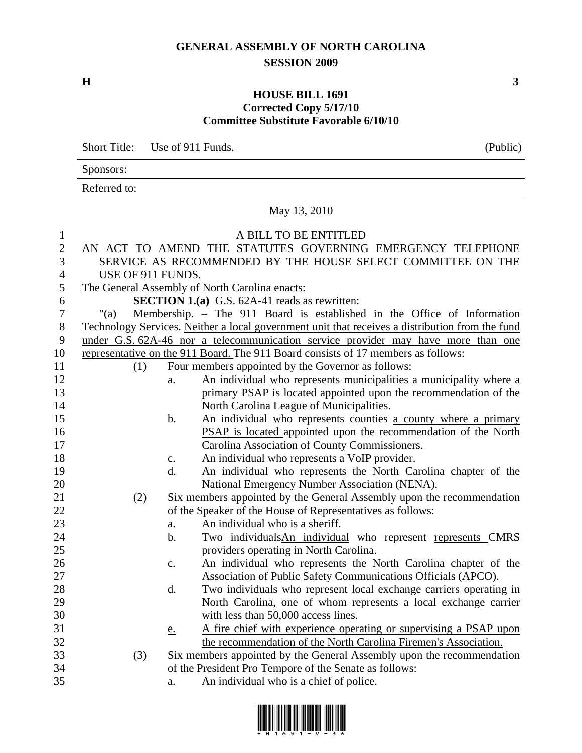## **GENERAL ASSEMBLY OF NORTH CAROLINA SESSION 2009**

 $\mathbf{H}$  3

## **HOUSE BILL 1691 Corrected Copy 5/17/10 Committee Substitute Favorable 6/10/10**

Short Title: Use of 911 Funds. (Public)

Sponsors:

Referred to:

## May 13, 2010

## 1 A BILL TO BE ENTITLED

| $\mathbf{r}$     |                                                                                   |       | 11 DILL 10 DL LITILLD                                                                           |
|------------------|-----------------------------------------------------------------------------------|-------|-------------------------------------------------------------------------------------------------|
| $\mathbf{2}$     |                                                                                   |       | AN ACT TO AMEND THE STATUTES GOVERNING EMERGENCY TELEPHONE                                      |
| 3                |                                                                                   |       | SERVICE AS RECOMMENDED BY THE HOUSE SELECT COMMITTEE ON THE                                     |
| $\overline{4}$   | USE OF 911 FUNDS.                                                                 |       |                                                                                                 |
| 5                |                                                                                   |       | The General Assembly of North Carolina enacts:                                                  |
| 6                |                                                                                   |       | <b>SECTION 1.(a)</b> G.S. 62A-41 reads as rewritten:                                            |
| $\boldsymbol{7}$ | " $(a)$                                                                           |       | Membership. - The 911 Board is established in the Office of Information                         |
| $8\,$            |                                                                                   |       | Technology Services. Neither a local government unit that receives a distribution from the fund |
| 9                |                                                                                   |       | under G.S. 62A-46 nor a telecommunication service provider may have more than one               |
| 10               | representative on the 911 Board. The 911 Board consists of 17 members as follows: |       |                                                                                                 |
| 11               | (1)                                                                               |       | Four members appointed by the Governor as follows:                                              |
| 12               |                                                                                   | a.    | An individual who represents municipalities a municipality where a                              |
| 13               |                                                                                   |       | primary PSAP is located appointed upon the recommendation of the                                |
| 14               |                                                                                   |       | North Carolina League of Municipalities.                                                        |
| 15               |                                                                                   | b.    | An individual who represents counties a county where a primary                                  |
| 16               |                                                                                   |       | <b>PSAP</b> is located appointed upon the recommendation of the North                           |
| 17               |                                                                                   |       | Carolina Association of County Commissioners.                                                   |
| 18               |                                                                                   | c.    | An individual who represents a VoIP provider.                                                   |
| 19               |                                                                                   | d.    | An individual who represents the North Carolina chapter of the                                  |
| 20               |                                                                                   |       | National Emergency Number Association (NENA).                                                   |
| 21               | (2)                                                                               |       | Six members appointed by the General Assembly upon the recommendation                           |
| 22               |                                                                                   |       | of the Speaker of the House of Representatives as follows:                                      |
| 23               |                                                                                   | a.    | An individual who is a sheriff.                                                                 |
| 24               |                                                                                   | $b$ . | Two individualsAn individual who represent represents CMRS                                      |
| 25               |                                                                                   |       | providers operating in North Carolina.                                                          |
| 26               |                                                                                   | c.    | An individual who represents the North Carolina chapter of the                                  |
| 27               |                                                                                   |       | Association of Public Safety Communications Officials (APCO).                                   |
| 28               |                                                                                   | d.    | Two individuals who represent local exchange carriers operating in                              |
| 29               |                                                                                   |       | North Carolina, one of whom represents a local exchange carrier                                 |
| 30               |                                                                                   |       | with less than 50,000 access lines.                                                             |
| 31               |                                                                                   | e.    | A fire chief with experience operating or supervising a PSAP upon                               |
| 32               |                                                                                   |       | the recommendation of the North Carolina Firemen's Association.                                 |
| 33               | (3)                                                                               |       | Six members appointed by the General Assembly upon the recommendation                           |
| 34               |                                                                                   |       | of the President Pro Tempore of the Senate as follows:                                          |
| 35               |                                                                                   | a.    | An individual who is a chief of police.                                                         |
|                  |                                                                                   |       |                                                                                                 |

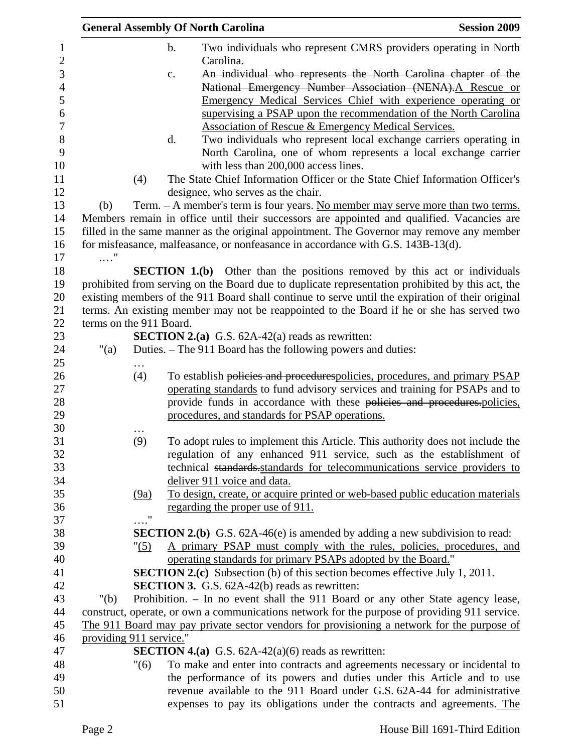|                |                         |      | <b>General Assembly Of North Carolina</b>                                                                                                                                                            | <b>Session 2009</b> |
|----------------|-------------------------|------|------------------------------------------------------------------------------------------------------------------------------------------------------------------------------------------------------|---------------------|
| $\mathbf{1}$   |                         |      | $\mathbf b$ .<br>Two individuals who represent CMRS providers operating in North                                                                                                                     |                     |
| $\sqrt{2}$     |                         |      | Carolina.                                                                                                                                                                                            |                     |
| 3              |                         |      | An individual who represents the North Carolina chapter of the<br>c.                                                                                                                                 |                     |
| $\overline{4}$ |                         |      | National Emergency Number Association (NENA). A Rescue or                                                                                                                                            |                     |
| 5              |                         |      | Emergency Medical Services Chief with experience operating or                                                                                                                                        |                     |
| 6              |                         |      | supervising a PSAP upon the recommendation of the North Carolina                                                                                                                                     |                     |
| 7              |                         |      | Association of Rescue & Emergency Medical Services.                                                                                                                                                  |                     |
| 8              |                         |      | d.<br>Two individuals who represent local exchange carriers operating in                                                                                                                             |                     |
| 9              |                         |      | North Carolina, one of whom represents a local exchange carrier                                                                                                                                      |                     |
| 10             |                         |      | with less than 200,000 access lines.                                                                                                                                                                 |                     |
| 11             |                         | (4)  | The State Chief Information Officer or the State Chief Information Officer's                                                                                                                         |                     |
| 12             |                         |      | designee, who serves as the chair.                                                                                                                                                                   |                     |
| 13             | (b)                     |      | Term. - A member's term is four years. No member may serve more than two terms.                                                                                                                      |                     |
| 14             |                         |      | Members remain in office until their successors are appointed and qualified. Vacancies are                                                                                                           |                     |
| 15             |                         |      | filled in the same manner as the original appointment. The Governor may remove any member                                                                                                            |                     |
| 16             |                         |      | for misfeasance, malfeasance, or nonfeasance in accordance with G.S. 143B-13(d).                                                                                                                     |                     |
| 17<br>18       | $\ldots$ "              |      |                                                                                                                                                                                                      |                     |
|                |                         |      | <b>SECTION 1.(b)</b> Other than the positions removed by this act or individuals                                                                                                                     |                     |
| 19             |                         |      | prohibited from serving on the Board due to duplicate representation prohibited by this act, the<br>existing members of the 911 Board shall continue to serve until the expiration of their original |                     |
| 20<br>21       |                         |      | terms. An existing member may not be reappointed to the Board if he or she has served two                                                                                                            |                     |
| 22             | terms on the 911 Board. |      |                                                                                                                                                                                                      |                     |
| 23             |                         |      | <b>SECTION 2.(a)</b> G.S. $62A-42(a)$ reads as rewritten:                                                                                                                                            |                     |
| 24             | " $(a)$                 |      | Duties. – The 911 Board has the following powers and duties:                                                                                                                                         |                     |
| 25             |                         |      |                                                                                                                                                                                                      |                     |
| 26             |                         | (4)  | To establish policies and procedurespolicies, procedures, and primary PSAP                                                                                                                           |                     |
| 27             |                         |      | operating standards to fund advisory services and training for PSAPs and to                                                                                                                          |                     |
| 28             |                         |      | provide funds in accordance with these policies and procedures.policies,                                                                                                                             |                     |
| 29             |                         |      | procedures, and standards for PSAP operations.                                                                                                                                                       |                     |
| 30             |                         |      |                                                                                                                                                                                                      |                     |
|                |                         | (9)  | To adopt rules to implement this Article. This authority does not include the                                                                                                                        |                     |
| 32             |                         |      | regulation of any enhanced 911 service, such as the establishment of                                                                                                                                 |                     |
| 33             |                         |      | technical standards standards for telecommunications service providers to                                                                                                                            |                     |
| 34             |                         |      | deliver 911 voice and data.                                                                                                                                                                          |                     |
| 35             |                         | (9a) | To design, create, or acquire printed or web-based public education materials                                                                                                                        |                     |
| 36             |                         | Ħ    | regarding the proper use of 911.                                                                                                                                                                     |                     |
| 37             |                         |      |                                                                                                                                                                                                      |                     |
| 38             |                         |      | <b>SECTION 2.(b)</b> G.S. 62A-46(e) is amended by adding a new subdivision to read:                                                                                                                  |                     |
| 39<br>40       |                         | "(5) | A primary PSAP must comply with the rules, policies, procedures, and                                                                                                                                 |                     |
|                |                         |      | operating standards for primary PSAPs adopted by the Board."                                                                                                                                         |                     |
| 41<br>42       |                         |      | <b>SECTION 2.(c)</b> Subsection (b) of this section becomes effective July 1, 2011.<br><b>SECTION 3.</b> G.S. 62A-42(b) reads as rewritten:                                                          |                     |
| 43             | " $(b)$                 |      | Prohibition. - In no event shall the 911 Board or any other State agency lease,                                                                                                                      |                     |
| 44             |                         |      | construct, operate, or own a communications network for the purpose of providing 911 service.                                                                                                        |                     |
| 45             |                         |      | The 911 Board may pay private sector vendors for provisioning a network for the purpose of                                                                                                           |                     |
| 46             | providing 911 service." |      |                                                                                                                                                                                                      |                     |
| 47             |                         |      | <b>SECTION 4.(a)</b> G.S. $62A-42(a)(6)$ reads as rewritten:                                                                                                                                         |                     |
| 48             |                         | "(6) | To make and enter into contracts and agreements necessary or incidental to                                                                                                                           |                     |
| 49             |                         |      | the performance of its powers and duties under this Article and to use                                                                                                                               |                     |
| 50             |                         |      | revenue available to the 911 Board under G.S. 62A-44 for administrative                                                                                                                              |                     |
| 51             |                         |      | expenses to pay its obligations under the contracts and agreements. The                                                                                                                              |                     |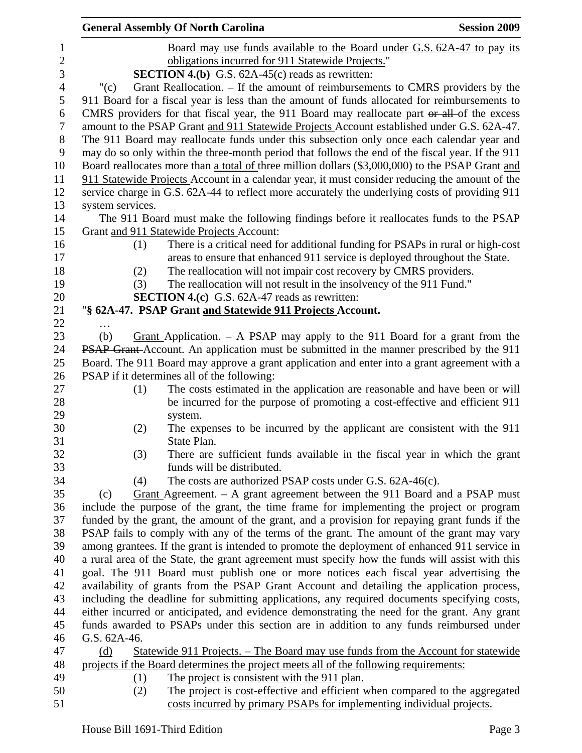|                  |                                                                                                                                                                                                    | <b>General Assembly Of North Carolina</b>                                                        | <b>Session 2009</b> |
|------------------|----------------------------------------------------------------------------------------------------------------------------------------------------------------------------------------------------|--------------------------------------------------------------------------------------------------|---------------------|
| $\mathbf{1}$     |                                                                                                                                                                                                    | Board may use funds available to the Board under G.S. 62A-47 to pay its                          |                     |
| $\sqrt{2}$       |                                                                                                                                                                                                    | obligations incurred for 911 Statewide Projects."                                                |                     |
| 3                |                                                                                                                                                                                                    | <b>SECTION 4.(b)</b> G.S. $62A-45(c)$ reads as rewritten:                                        |                     |
| $\overline{4}$   | " $(c)$                                                                                                                                                                                            | Grant Reallocation. – If the amount of reimbursements to CMRS providers by the                   |                     |
| 5                |                                                                                                                                                                                                    | 911 Board for a fiscal year is less than the amount of funds allocated for reimbursements to     |                     |
| 6                | CMRS providers for that fiscal year, the 911 Board may reallocate part or all of the excess                                                                                                        |                                                                                                  |                     |
| $\tau$           |                                                                                                                                                                                                    | amount to the PSAP Grant and 911 Statewide Projects Account established under G.S. 62A-47.       |                     |
| $8\,$            |                                                                                                                                                                                                    | The 911 Board may reallocate funds under this subsection only once each calendar year and        |                     |
| $\boldsymbol{9}$ |                                                                                                                                                                                                    | may do so only within the three-month period that follows the end of the fiscal year. If the 911 |                     |
| 10               |                                                                                                                                                                                                    |                                                                                                  |                     |
| 11               | Board reallocates more than a total of three million dollars (\$3,000,000) to the PSAP Grant and<br>911 Statewide Projects Account in a calendar year, it must consider reducing the amount of the |                                                                                                  |                     |
| 12               |                                                                                                                                                                                                    | service charge in G.S. 62A-44 to reflect more accurately the underlying costs of providing 911   |                     |
| 13               | system services.                                                                                                                                                                                   |                                                                                                  |                     |
| 14               |                                                                                                                                                                                                    | The 911 Board must make the following findings before it reallocates funds to the PSAP           |                     |
| 15               |                                                                                                                                                                                                    | Grant and 911 Statewide Projects Account:                                                        |                     |
| 16               | (1)                                                                                                                                                                                                | There is a critical need for additional funding for PSAPs in rural or high-cost                  |                     |
| 17               |                                                                                                                                                                                                    | areas to ensure that enhanced 911 service is deployed throughout the State.                      |                     |
| 18               | (2)                                                                                                                                                                                                | The reallocation will not impair cost recovery by CMRS providers.                                |                     |
| 19               | (3)                                                                                                                                                                                                | The reallocation will not result in the insolvency of the 911 Fund."                             |                     |
| 20               |                                                                                                                                                                                                    | <b>SECTION 4.(c)</b> G.S. 62A-47 reads as rewritten:                                             |                     |
| 21               |                                                                                                                                                                                                    | "§ 62A-47. PSAP Grant and Statewide 911 Projects Account.                                        |                     |
| 22               |                                                                                                                                                                                                    |                                                                                                  |                     |
| 23               | (b)                                                                                                                                                                                                | Grant Application. $-$ A PSAP may apply to the 911 Board for a grant from the                    |                     |
| 24               |                                                                                                                                                                                                    | PSAP Grant-Account. An application must be submitted in the manner prescribed by the 911         |                     |
| 25               |                                                                                                                                                                                                    | Board. The 911 Board may approve a grant application and enter into a grant agreement with a     |                     |
| 26               |                                                                                                                                                                                                    | PSAP if it determines all of the following:                                                      |                     |
| 27               | (1)                                                                                                                                                                                                | The costs estimated in the application are reasonable and have been or will                      |                     |
| 28               |                                                                                                                                                                                                    | be incurred for the purpose of promoting a cost-effective and efficient 911                      |                     |
| 29               |                                                                                                                                                                                                    | system.                                                                                          |                     |
| 30               | (2)                                                                                                                                                                                                | The expenses to be incurred by the applicant are consistent with the 911                         |                     |
| 31               |                                                                                                                                                                                                    | State Plan.                                                                                      |                     |
| 32               | (3)                                                                                                                                                                                                | There are sufficient funds available in the fiscal year in which the grant                       |                     |
| 33               |                                                                                                                                                                                                    | funds will be distributed.                                                                       |                     |
| 34               | (4)                                                                                                                                                                                                | The costs are authorized PSAP costs under G.S. 62A-46(c).                                        |                     |
| 35               | (c)                                                                                                                                                                                                | Grant Agreement. $-$ A grant agreement between the 911 Board and a PSAP must                     |                     |
| 36               |                                                                                                                                                                                                    | include the purpose of the grant, the time frame for implementing the project or program         |                     |
| 37               | funded by the grant, the amount of the grant, and a provision for repaying grant funds if the                                                                                                      |                                                                                                  |                     |
| 38               |                                                                                                                                                                                                    | PSAP fails to comply with any of the terms of the grant. The amount of the grant may vary        |                     |
| 39               |                                                                                                                                                                                                    | among grantees. If the grant is intended to promote the deployment of enhanced 911 service in    |                     |
| 40               | a rural area of the State, the grant agreement must specify how the funds will assist with this                                                                                                    |                                                                                                  |                     |
| 41               | goal. The 911 Board must publish one or more notices each fiscal year advertising the                                                                                                              |                                                                                                  |                     |
| 42               | availability of grants from the PSAP Grant Account and detailing the application process,                                                                                                          |                                                                                                  |                     |
| 43               | including the deadline for submitting applications, any required documents specifying costs,                                                                                                       |                                                                                                  |                     |
| 44               |                                                                                                                                                                                                    | either incurred or anticipated, and evidence demonstrating the need for the grant. Any grant     |                     |
| 45               |                                                                                                                                                                                                    | funds awarded to PSAPs under this section are in addition to any funds reimbursed under          |                     |
| 46               | G.S. 62A-46.                                                                                                                                                                                       |                                                                                                  |                     |
| 47               | (d)                                                                                                                                                                                                | Statewide 911 Projects. – The Board may use funds from the Account for statewide                 |                     |
| 48               |                                                                                                                                                                                                    | projects if the Board determines the project meets all of the following requirements:            |                     |
| 49               | (1)                                                                                                                                                                                                | The project is consistent with the 911 plan.                                                     |                     |
| 50               | (2)                                                                                                                                                                                                | The project is cost-effective and efficient when compared to the aggregated                      |                     |
| 51               |                                                                                                                                                                                                    | costs incurred by primary PSAPs for implementing individual projects.                            |                     |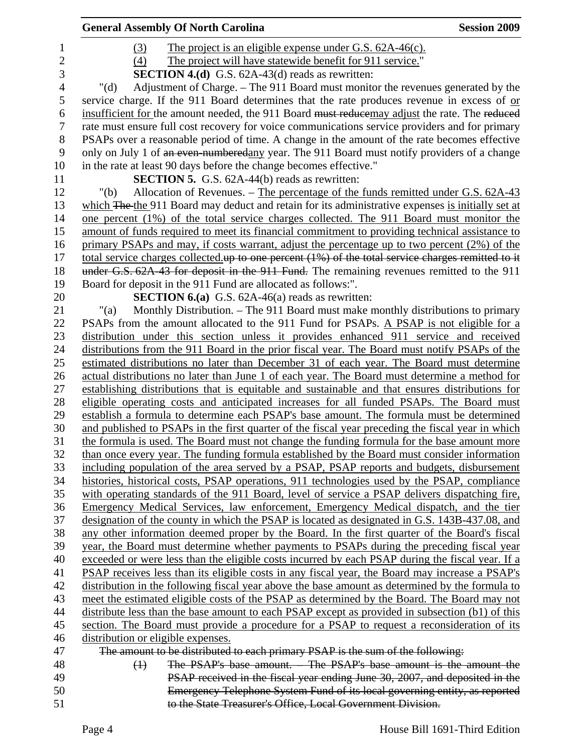|                | <b>General Assembly Of North Carolina</b>                                                                                                                                              | <b>Session 2009</b> |
|----------------|----------------------------------------------------------------------------------------------------------------------------------------------------------------------------------------|---------------------|
| 1              | The project is an eligible expense under G.S. 62A-46(c).<br>(3)                                                                                                                        |                     |
| $\overline{c}$ | (4)<br>The project will have statewide benefit for 911 service."                                                                                                                       |                     |
| 3              | <b>SECTION 4.(d)</b> G.S. 62A-43(d) reads as rewritten:                                                                                                                                |                     |
| $\overline{4}$ | Adjustment of Charge. – The 911 Board must monitor the revenues generated by the<br>" $(d)$                                                                                            |                     |
| 5              | service charge. If the 911 Board determines that the rate produces revenue in excess of or                                                                                             |                     |
| 6              | insufficient for the amount needed, the 911 Board must reducemay adjust the rate. The reduced                                                                                          |                     |
| $\tau$         | rate must ensure full cost recovery for voice communications service providers and for primary                                                                                         |                     |
| $8\,$          | PSAPs over a reasonable period of time. A change in the amount of the rate becomes effective                                                                                           |                     |
| 9              | only on July 1 of an even-numberedany year. The 911 Board must notify providers of a change                                                                                            |                     |
| 10             | in the rate at least 90 days before the change becomes effective."                                                                                                                     |                     |
| 11             | <b>SECTION 5.</b> G.S. 62A-44(b) reads as rewritten:                                                                                                                                   |                     |
| 12             | " $(b)$<br>Allocation of Revenues. - The percentage of the funds remitted under G.S. 62A-43                                                                                            |                     |
| 13             | which The the 911 Board may deduct and retain for its administrative expenses is initially set at                                                                                      |                     |
| 14             | one percent (1%) of the total service charges collected. The 911 Board must monitor the                                                                                                |                     |
| 15             | amount of funds required to meet its financial commitment to providing technical assistance to                                                                                         |                     |
| 16             | primary PSAPs and may, if costs warrant, adjust the percentage up to two percent (2%) of the                                                                                           |                     |
| 17             | total service charges collected up to one percent (1%) of the total service charges remitted to it                                                                                     |                     |
| 18             | under G.S. 62A-43 for deposit in the 911 Fund. The remaining revenues remitted to the 911                                                                                              |                     |
| 19             | Board for deposit in the 911 Fund are allocated as follows:".                                                                                                                          |                     |
| 20             | <b>SECTION 6.(a)</b> G.S. $62A-46(a)$ reads as rewritten:                                                                                                                              |                     |
| 21             | Monthly Distribution. – The 911 Board must make monthly distributions to primary<br>"(a)                                                                                               |                     |
| 22             | PSAPs from the amount allocated to the 911 Fund for PSAPs. A PSAP is not eligible for a                                                                                                |                     |
| 23             | distribution under this section unless it provides enhanced 911 service and received                                                                                                   |                     |
| 24             | distributions from the 911 Board in the prior fiscal year. The Board must notify PSAPs of the                                                                                          |                     |
| 25             | estimated distributions no later than December 31 of each year. The Board must determine                                                                                               |                     |
| 26             | actual distributions no later than June 1 of each year. The Board must determine a method for                                                                                          |                     |
| 27             | establishing distributions that is equitable and sustainable and that ensures distributions for                                                                                        |                     |
| 28             | eligible operating costs and anticipated increases for all funded PSAPs. The Board must                                                                                                |                     |
| 29             | establish a formula to determine each PSAP's base amount. The formula must be determined                                                                                               |                     |
| 30             | and published to PSAPs in the first quarter of the fiscal year preceding the fiscal year in which                                                                                      |                     |
| 31             | the formula is used. The Board must not change the funding formula for the base amount more                                                                                            |                     |
| 32             | than once every year. The funding formula established by the Board must consider information                                                                                           |                     |
| 33             | including population of the area served by a PSAP, PSAP reports and budgets, disbursement                                                                                              |                     |
| 34             | histories, historical costs, PSAP operations, 911 technologies used by the PSAP, compliance                                                                                            |                     |
| 35<br>36       | with operating standards of the 911 Board, level of service a PSAP delivers dispatching fire,                                                                                          |                     |
| 37             | Emergency Medical Services, law enforcement, Emergency Medical dispatch, and the tier<br>designation of the county in which the PSAP is located as designated in G.S. 143B-437.08, and |                     |
| 38             | any other information deemed proper by the Board. In the first quarter of the Board's fiscal                                                                                           |                     |
| 39             | year, the Board must determine whether payments to PSAPs during the preceding fiscal year                                                                                              |                     |
| 40             | exceeded or were less than the eligible costs incurred by each PSAP during the fiscal year. If a                                                                                       |                     |
| 41             | PSAP receives less than its eligible costs in any fiscal year, the Board may increase a PSAP's                                                                                         |                     |
| 42             | distribution in the following fiscal year above the base amount as determined by the formula to                                                                                        |                     |
| 43             | meet the estimated eligible costs of the PSAP as determined by the Board. The Board may not                                                                                            |                     |
| 44             | distribute less than the base amount to each PSAP except as provided in subsection (b1) of this                                                                                        |                     |
| 45             | section. The Board must provide a procedure for a PSAP to request a reconsideration of its                                                                                             |                     |
| 46             | distribution or eligible expenses.                                                                                                                                                     |                     |
| 47             | The amount to be distributed to each primary PSAP is the sum of the following:                                                                                                         |                     |
| 48             | The PSAP's base amount. The PSAP's base amount is the amount the<br>$\leftrightarrow$                                                                                                  |                     |
| 49             | PSAP received in the fiscal year ending June 30, 2007, and deposited in the                                                                                                            |                     |
| 50             | Emergency Telephone System Fund of its local governing entity, as reported                                                                                                             |                     |
| 51             | to the State Treasurer's Office, Local Government Division.                                                                                                                            |                     |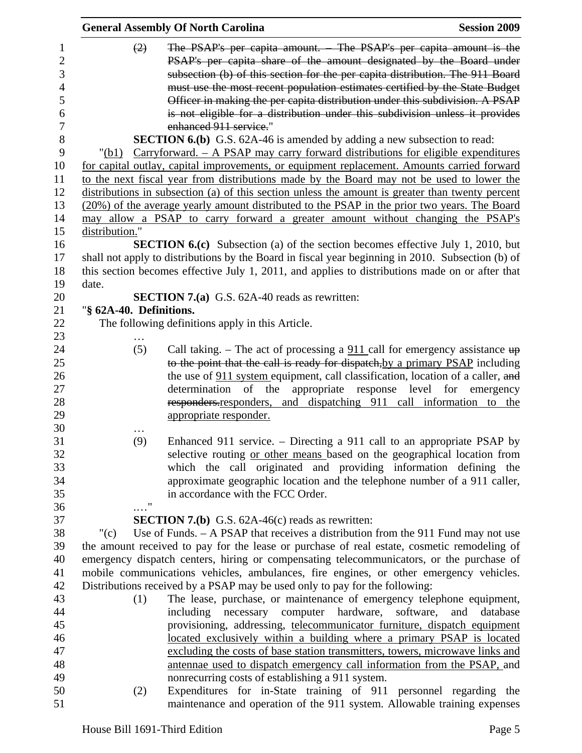|                                                           |                         | <b>General Assembly Of North Carolina</b>                                                                                                                                                                                                                                                                                                                                                                                                                                                                                                                            | <b>Session 2009</b>                                                                                                                                                                                                                                                                                                                                                                                                                                                        |
|-----------------------------------------------------------|-------------------------|----------------------------------------------------------------------------------------------------------------------------------------------------------------------------------------------------------------------------------------------------------------------------------------------------------------------------------------------------------------------------------------------------------------------------------------------------------------------------------------------------------------------------------------------------------------------|----------------------------------------------------------------------------------------------------------------------------------------------------------------------------------------------------------------------------------------------------------------------------------------------------------------------------------------------------------------------------------------------------------------------------------------------------------------------------|
| 1<br>$\overline{2}$<br>3<br>4<br>5<br>6<br>$\overline{7}$ | (2)                     | enhanced 911 service."                                                                                                                                                                                                                                                                                                                                                                                                                                                                                                                                               | The PSAP's per capita amount. – The PSAP's per capita amount is the<br>PSAP's per capita share of the amount designated by the Board under<br>subsection (b) of this section for the per capita distribution. The 911 Board<br>must use the most recent population estimates certified by the State Budget<br>Officer in making the per capita distribution under this subdivision. A PSAP<br>is not eligible for a distribution under this subdivision unless it provides |
| 8                                                         |                         | <b>SECTION 6.(b)</b> G.S. 62A-46 is amended by adding a new subsection to read:                                                                                                                                                                                                                                                                                                                                                                                                                                                                                      |                                                                                                                                                                                                                                                                                                                                                                                                                                                                            |
| 9<br>10<br>11<br>12<br>13<br>14                           | "(b1)                   | $Carryforward. - A PSAP$ may carry forward distributions for eligible expenditures<br>for capital outlay, capital improvements, or equipment replacement. Amounts carried forward<br>to the next fiscal year from distributions made by the Board may not be used to lower the<br>distributions in subsection (a) of this section unless the amount is greater than twenty percent<br>(20%) of the average yearly amount distributed to the PSAP in the prior two years. The Board<br>may allow a PSAP to carry forward a greater amount without changing the PSAP's |                                                                                                                                                                                                                                                                                                                                                                                                                                                                            |
|                                                           |                         |                                                                                                                                                                                                                                                                                                                                                                                                                                                                                                                                                                      |                                                                                                                                                                                                                                                                                                                                                                                                                                                                            |
| 15<br>16                                                  | distribution."          |                                                                                                                                                                                                                                                                                                                                                                                                                                                                                                                                                                      |                                                                                                                                                                                                                                                                                                                                                                                                                                                                            |
| 17<br>18                                                  |                         | <b>SECTION 6.(c)</b> Subsection (a) of the section becomes effective July 1, 2010, but<br>shall not apply to distributions by the Board in fiscal year beginning in 2010. Subsection (b) of<br>this section becomes effective July 1, 2011, and applies to distributions made on or after that                                                                                                                                                                                                                                                                       |                                                                                                                                                                                                                                                                                                                                                                                                                                                                            |
| 19                                                        | date.                   |                                                                                                                                                                                                                                                                                                                                                                                                                                                                                                                                                                      |                                                                                                                                                                                                                                                                                                                                                                                                                                                                            |
| 20                                                        |                         | <b>SECTION 7.(a)</b> G.S. 62A-40 reads as rewritten:                                                                                                                                                                                                                                                                                                                                                                                                                                                                                                                 |                                                                                                                                                                                                                                                                                                                                                                                                                                                                            |
| 21                                                        | "§ 62A-40. Definitions. |                                                                                                                                                                                                                                                                                                                                                                                                                                                                                                                                                                      |                                                                                                                                                                                                                                                                                                                                                                                                                                                                            |
| 22                                                        |                         | The following definitions apply in this Article.                                                                                                                                                                                                                                                                                                                                                                                                                                                                                                                     |                                                                                                                                                                                                                                                                                                                                                                                                                                                                            |
| 23                                                        |                         |                                                                                                                                                                                                                                                                                                                                                                                                                                                                                                                                                                      |                                                                                                                                                                                                                                                                                                                                                                                                                                                                            |
| 24<br>25<br>26<br>27<br>28<br>29                          | (5)                     | appropriate responder.                                                                                                                                                                                                                                                                                                                                                                                                                                                                                                                                               | Call taking. – The act of processing a $911$ call for emergency assistance $up$<br>to the point that the call is ready for dispatch, by a primary PSAP including<br>the use of 911 system equipment, call classification, location of a caller, and<br>determination of the appropriate response level for emergency<br>responders.responders, and dispatching 911 call information to the                                                                                 |
| 30                                                        |                         |                                                                                                                                                                                                                                                                                                                                                                                                                                                                                                                                                                      |                                                                                                                                                                                                                                                                                                                                                                                                                                                                            |
| 31<br>32<br>33<br>34<br>35<br>36                          | (9)<br>"                | in accordance with the FCC Order.                                                                                                                                                                                                                                                                                                                                                                                                                                                                                                                                    | Enhanced 911 service. – Directing a 911 call to an appropriate PSAP by<br>selective routing or other means based on the geographical location from<br>which the call originated and providing information defining the<br>approximate geographic location and the telephone number of a 911 caller,                                                                                                                                                                        |
| 37                                                        |                         | <b>SECTION 7.(b)</b> G.S. $62A-46(c)$ reads as rewritten:                                                                                                                                                                                                                                                                                                                                                                                                                                                                                                            |                                                                                                                                                                                                                                                                                                                                                                                                                                                                            |
| 38                                                        | "(c)                    | Use of Funds. $-$ A PSAP that receives a distribution from the 911 Fund may not use                                                                                                                                                                                                                                                                                                                                                                                                                                                                                  |                                                                                                                                                                                                                                                                                                                                                                                                                                                                            |
| 39                                                        |                         |                                                                                                                                                                                                                                                                                                                                                                                                                                                                                                                                                                      | the amount received to pay for the lease or purchase of real estate, cosmetic remodeling of                                                                                                                                                                                                                                                                                                                                                                                |
| 40                                                        |                         |                                                                                                                                                                                                                                                                                                                                                                                                                                                                                                                                                                      | emergency dispatch centers, hiring or compensating telecommunicators, or the purchase of                                                                                                                                                                                                                                                                                                                                                                                   |
| 41                                                        |                         | mobile communications vehicles, ambulances, fire engines, or other emergency vehicles.                                                                                                                                                                                                                                                                                                                                                                                                                                                                               |                                                                                                                                                                                                                                                                                                                                                                                                                                                                            |
| 42                                                        |                         | Distributions received by a PSAP may be used only to pay for the following:                                                                                                                                                                                                                                                                                                                                                                                                                                                                                          |                                                                                                                                                                                                                                                                                                                                                                                                                                                                            |
| 43                                                        | (1)                     |                                                                                                                                                                                                                                                                                                                                                                                                                                                                                                                                                                      | The lease, purchase, or maintenance of emergency telephone equipment,                                                                                                                                                                                                                                                                                                                                                                                                      |
| 44                                                        |                         |                                                                                                                                                                                                                                                                                                                                                                                                                                                                                                                                                                      | including necessary computer hardware, software, and database                                                                                                                                                                                                                                                                                                                                                                                                              |
| 45                                                        |                         |                                                                                                                                                                                                                                                                                                                                                                                                                                                                                                                                                                      | provisioning, addressing, telecommunicator furniture, dispatch equipment                                                                                                                                                                                                                                                                                                                                                                                                   |
| 46                                                        |                         |                                                                                                                                                                                                                                                                                                                                                                                                                                                                                                                                                                      | located exclusively within a building where a primary PSAP is located                                                                                                                                                                                                                                                                                                                                                                                                      |
| 47                                                        |                         |                                                                                                                                                                                                                                                                                                                                                                                                                                                                                                                                                                      | excluding the costs of base station transmitters, towers, microwave links and                                                                                                                                                                                                                                                                                                                                                                                              |
| 48                                                        |                         |                                                                                                                                                                                                                                                                                                                                                                                                                                                                                                                                                                      | antennae used to dispatch emergency call information from the PSAP, and                                                                                                                                                                                                                                                                                                                                                                                                    |
| 49                                                        |                         | nonrecurring costs of establishing a 911 system.                                                                                                                                                                                                                                                                                                                                                                                                                                                                                                                     |                                                                                                                                                                                                                                                                                                                                                                                                                                                                            |
| 50                                                        | (2)                     |                                                                                                                                                                                                                                                                                                                                                                                                                                                                                                                                                                      | Expenditures for in-State training of 911 personnel regarding the                                                                                                                                                                                                                                                                                                                                                                                                          |
| 51                                                        |                         |                                                                                                                                                                                                                                                                                                                                                                                                                                                                                                                                                                      | maintenance and operation of the 911 system. Allowable training expenses                                                                                                                                                                                                                                                                                                                                                                                                   |